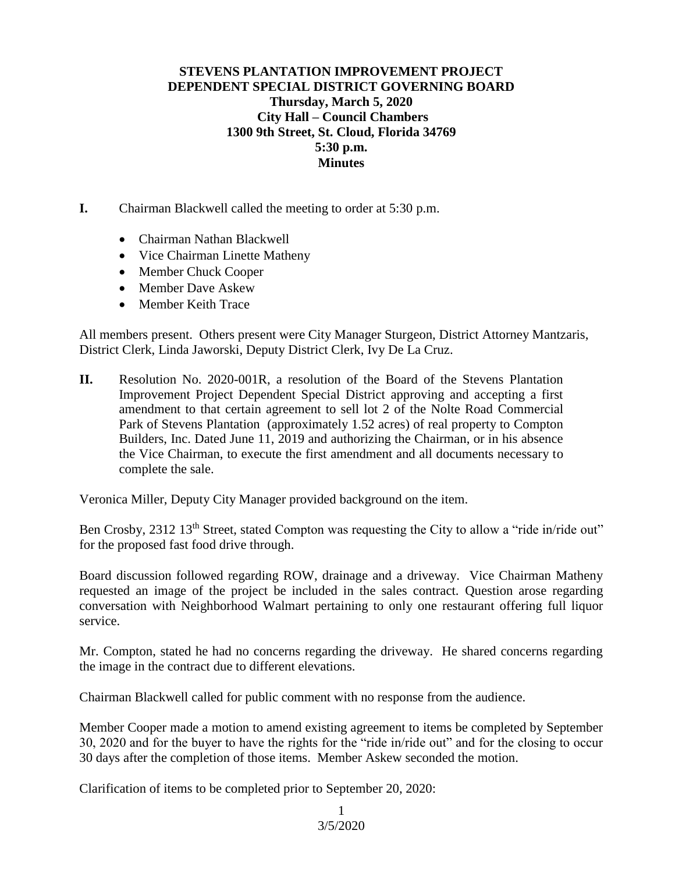## **STEVENS PLANTATION IMPROVEMENT PROJECT DEPENDENT SPECIAL DISTRICT GOVERNING BOARD Thursday, March 5, 2020 City Hall – Council Chambers 1300 9th Street, St. Cloud, Florida 34769 5:30 p.m. Minutes**

- **I.** Chairman Blackwell called the meeting to order at 5:30 p.m.
	- Chairman Nathan Blackwell
	- Vice Chairman Linette Matheny
	- Member Chuck Cooper
	- Member Dave Askew
	- Member Keith Trace

All members present. Others present were City Manager Sturgeon, District Attorney Mantzaris, District Clerk, Linda Jaworski, Deputy District Clerk, Ivy De La Cruz.

**II.** Resolution No. 2020-001R, a resolution of the Board of the Stevens Plantation Improvement Project Dependent Special District approving and accepting a first amendment to that certain agreement to sell lot 2 of the Nolte Road Commercial Park of Stevens Plantation (approximately 1.52 acres) of real property to Compton Builders, Inc. Dated June 11, 2019 and authorizing the Chairman, or in his absence the Vice Chairman, to execute the first amendment and all documents necessary to complete the sale.

Veronica Miller, Deputy City Manager provided background on the item.

Ben Crosby, 2312 13<sup>th</sup> Street, stated Compton was requesting the City to allow a "ride in/ride out" for the proposed fast food drive through.

Board discussion followed regarding ROW, drainage and a driveway. Vice Chairman Matheny requested an image of the project be included in the sales contract. Question arose regarding conversation with Neighborhood Walmart pertaining to only one restaurant offering full liquor service.

Mr. Compton, stated he had no concerns regarding the driveway. He shared concerns regarding the image in the contract due to different elevations.

Chairman Blackwell called for public comment with no response from the audience.

Member Cooper made a motion to amend existing agreement to items be completed by September 30, 2020 and for the buyer to have the rights for the "ride in/ride out" and for the closing to occur 30 days after the completion of those items. Member Askew seconded the motion.

Clarification of items to be completed prior to September 20, 2020:

3/5/2020 1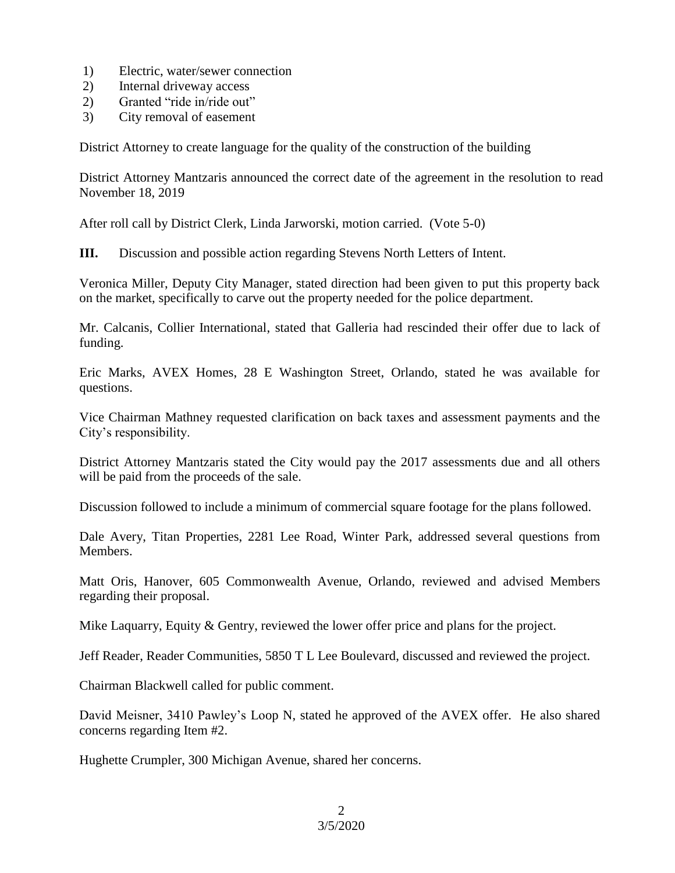- 1) Electric, water/sewer connection
- 2) Internal driveway access
- 2) Granted "ride in/ride out"
- 3) City removal of easement

District Attorney to create language for the quality of the construction of the building

District Attorney Mantzaris announced the correct date of the agreement in the resolution to read November 18, 2019

After roll call by District Clerk, Linda Jarworski, motion carried. (Vote 5-0)

**III.** Discussion and possible action regarding Stevens North Letters of Intent.

Veronica Miller, Deputy City Manager, stated direction had been given to put this property back on the market, specifically to carve out the property needed for the police department.

Mr. Calcanis, Collier International, stated that Galleria had rescinded their offer due to lack of funding.

Eric Marks, AVEX Homes, 28 E Washington Street, Orlando, stated he was available for questions.

Vice Chairman Mathney requested clarification on back taxes and assessment payments and the City's responsibility.

District Attorney Mantzaris stated the City would pay the 2017 assessments due and all others will be paid from the proceeds of the sale.

Discussion followed to include a minimum of commercial square footage for the plans followed.

Dale Avery, Titan Properties, 2281 Lee Road, Winter Park, addressed several questions from Members.

Matt Oris, Hanover, 605 Commonwealth Avenue, Orlando, reviewed and advised Members regarding their proposal.

Mike Laquarry, Equity & Gentry, reviewed the lower offer price and plans for the project.

Jeff Reader, Reader Communities, 5850 T L Lee Boulevard, discussed and reviewed the project.

Chairman Blackwell called for public comment.

David Meisner, 3410 Pawley's Loop N, stated he approved of the AVEX offer. He also shared concerns regarding Item #2.

Hughette Crumpler, 300 Michigan Avenue, shared her concerns.